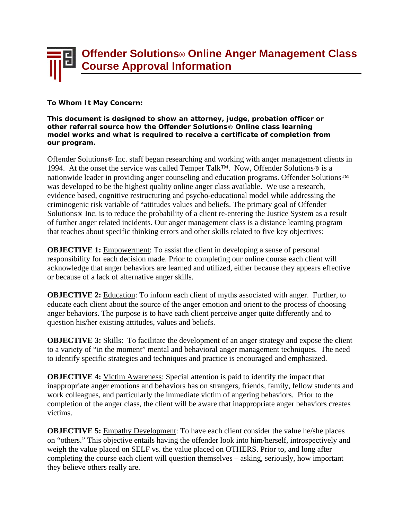## **Offender Solutions**® **Online Anger Management Class Course Approval Information**

**To Whom It May Concern:** 

**This document is designed to show an attorney, judge, probation officer or other referral source how the Offender Solutions**® **Online class learning model works and what is required to receive a certificate of completion from our program.** 

Offender Solutions® Inc. staff began researching and working with anger management clients in 1994. At the onset the service was called Temper Talk™. Now, Offender Solutions® is a nationwide leader in providing anger counseling and education programs. Offender Solutions<sup>™</sup> was developed to be the highest quality online anger class available. We use a research, evidence based, cognitive restructuring and psycho-educational model while addressing the criminogenic risk variable of "attitudes values and beliefs. The primary goal of Offender Solutions® Inc. is to reduce the probability of a client re-entering the Justice System as a result of further anger related incidents. Our anger management class is a distance learning program that teaches about specific thinking errors and other skills related to five key objectives:

**OBJECTIVE 1:** Empowerment: To assist the client in developing a sense of personal responsibility for each decision made. Prior to completing our online course each client will acknowledge that anger behaviors are learned and utilized, either because they appears effective or because of a lack of alternative anger skills.

**OBJECTIVE 2:** Education: To inform each client of myths associated with anger. Further, to educate each client about the source of the anger emotion and orient to the process of choosing anger behaviors. The purpose is to have each client perceive anger quite differently and to question his/her existing attitudes, values and beliefs.

**OBJECTIVE 3:** Skills: To facilitate the development of an anger strategy and expose the client to a variety of "in the moment" mental and behavioral anger management techniques. The need to identify specific strategies and techniques and practice is encouraged and emphasized.

**OBJECTIVE 4:** Victim Awareness: Special attention is paid to identify the impact that inappropriate anger emotions and behaviors has on strangers, friends, family, fellow students and work colleagues, and particularly the immediate victim of angering behaviors. Prior to the completion of the anger class, the client will be aware that inappropriate anger behaviors creates victims.

**OBJECTIVE 5:** Empathy Development: To have each client consider the value he/she places on "others." This objective entails having the offender look into him/herself, introspectively and weigh the value placed on SELF vs. the value placed on OTHERS. Prior to, and long after completing the course each client will question themselves – asking, seriously, how important they believe others really are.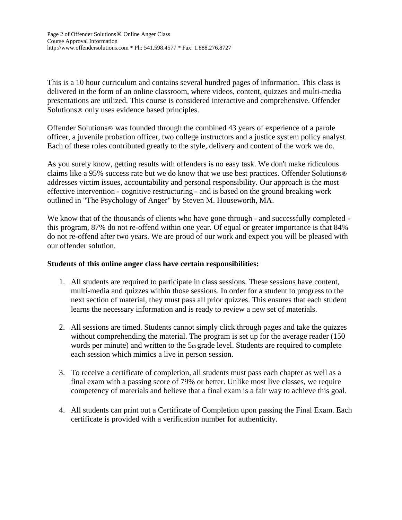This is a 10 hour curriculum and contains several hundred pages of information. This class is delivered in the form of an online classroom, where videos, content, quizzes and multi-media presentations are utilized. This course is considered interactive and comprehensive. Offender Solutions® only uses evidence based principles.

Offender Solutions® was founded through the combined 43 years of experience of a parole officer, a juvenile probation officer, two college instructors and a justice system policy analyst. Each of these roles contributed greatly to the style, delivery and content of the work we do.

As you surely know, getting results with offenders is no easy task. We don't make ridiculous claims like a 95% success rate but we do know that we use best practices. Offender Solutions® addresses victim issues, accountability and personal responsibility. Our approach is the most effective intervention - cognitive restructuring - and is based on the ground breaking work outlined in "The Psychology of Anger" by Steven M. Houseworth, MA.

We know that of the thousands of clients who have gone through - and successfully completed this program, 87% do not re-offend within one year. Of equal or greater importance is that 84% do not re-offend after two years. We are proud of our work and expect you will be pleased with our offender solution.

## **Students of this online anger class have certain responsibilities:**

- 1. All students are required to participate in class sessions. These sessions have content, multi-media and quizzes within those sessions. In order for a student to progress to the next section of material, they must pass all prior quizzes. This ensures that each student learns the necessary information and is ready to review a new set of materials.
- 2. All sessions are timed. Students cannot simply click through pages and take the quizzes without comprehending the material. The program is set up for the average reader (150) words per minute) and written to the 5th grade level. Students are required to complete each session which mimics a live in person session.
- 3. To receive a certificate of completion, all students must pass each chapter as well as a final exam with a passing score of 79% or better. Unlike most live classes, we require competency of materials and believe that a final exam is a fair way to achieve this goal.
- 4. All students can print out a Certificate of Completion upon passing the Final Exam. Each certificate is provided with a verification number for authenticity.